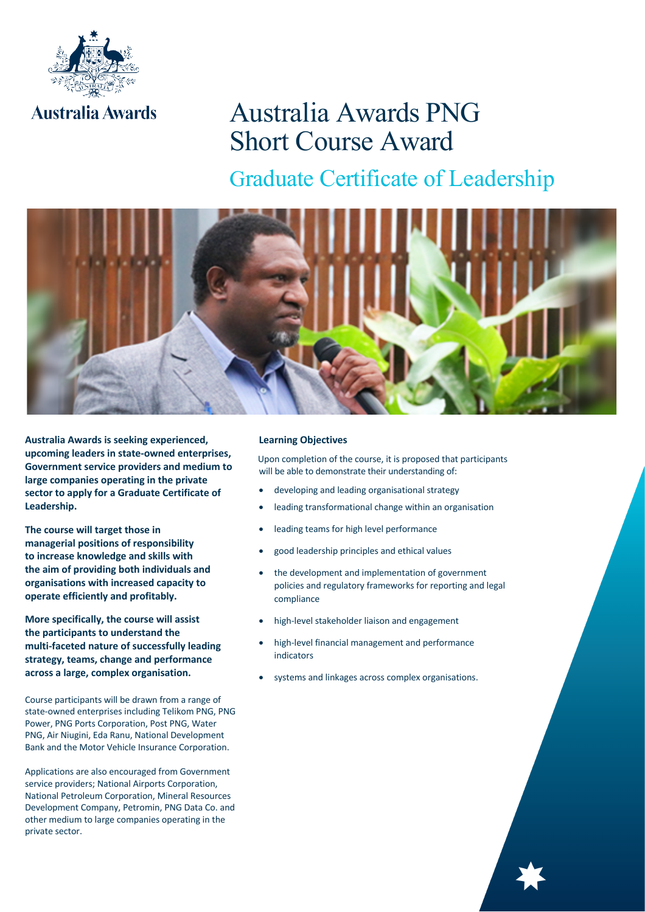

# Australia Awards PNG Short Course Award

Graduate Certificate of Leadership



**Australia Awards is seeking experienced, upcoming leaders in state-owned enterprises, Government service providers and medium to large companies operating in the private sector to apply for a Graduate Certificate of Leadership.** 

**The course will target those in managerial positions of responsibility to increase knowledge and skills with the aim of providing both individuals and organisations with increased capacity to operate efficiently and profitably.**

**More specifically, the course will assist the participants to understand the multi-faceted nature of successfully leading strategy, teams, change and performance across a large, complex organisation.**

Course participants will be drawn from a range of state-owned enterprises including Telikom PNG, PNG Power, PNG Ports Corporation, Post PNG, Water PNG, Air Niugini, Eda Ranu, National Development Bank and the Motor Vehicle Insurance Corporation.

Applications are also encouraged from Government service providers; National Airports Corporation, National Petroleum Corporation, Mineral Resources Development Company, Petromin, PNG Data Co. and other medium to large companies operating in the private sector.

#### **Learning Objectives**

 Upon completion of the course, it is proposed that participants will be able to demonstrate their understanding of:

- developing and leading organisational strategy
- leading transformational change within an organisation
- leading teams for high level performance
- good leadership principles and ethical values
- the development and implementation of government policies and regulatory frameworks for reporting and legal compliance
- high-level stakeholder liaison and engagement
- high-level financial management and performance indicators
- systems and linkages across complex organisations.